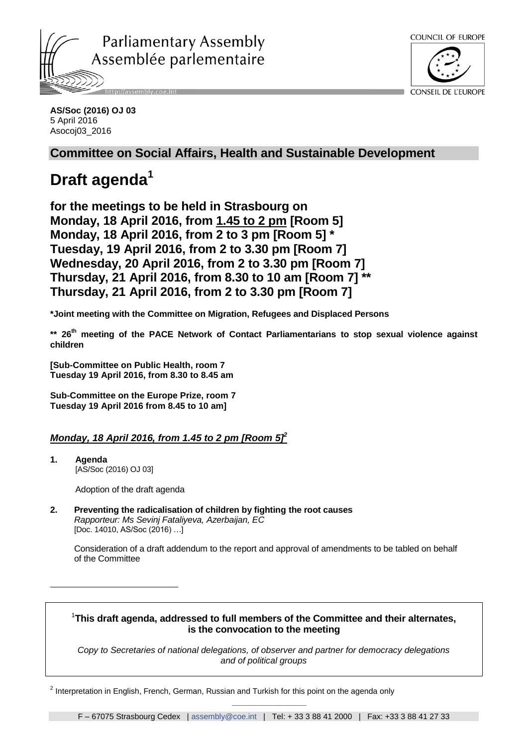



#### **AS/Soc (2016) OJ 03** 5 April 2016 Asocoj03\_2016

# **Committee on Social Affairs, Health and Sustainable Development**

# **Draft agenda<sup>1</sup>**

**for the meetings to be held in Strasbourg on Monday, 18 April 2016, from 1.45 to 2 pm [Room 5] Monday, 18 April 2016, from 2 to 3 pm [Room 5] \* Tuesday, 19 April 2016, from 2 to 3.30 pm [Room 7] Wednesday, 20 April 2016, from 2 to 3.30 pm [Room 7] Thursday, 21 April 2016, from 8.30 to 10 am [Room 7] \*\* Thursday, 21 April 2016, from 2 to 3.30 pm [Room 7]**

**\*Joint meeting with the Committee on Migration, Refugees and Displaced Persons** 

**\*\* 26th meeting of the PACE Network of Contact Parliamentarians to stop sexual violence against children** 

**[Sub-Committee on Public Health, room 7 Tuesday 19 April 2016, from 8.30 to 8.45 am**

**Sub-Committee on the Europe Prize, room 7 Tuesday 19 April 2016 from 8.45 to 10 am]**

# *Monday, 18 April 2016, from 1.45 to 2 pm [Room 5] 2*

**1. Agenda** [AS/Soc (2016) OJ 03]

<u>.</u>

Adoption of the draft agenda

**2. Preventing the radicalisation of children by fighting the root causes** *Rapporteur: Ms Sevinj Fataliyeva, Azerbaijan, EC*  [Doc. 14010, AS/Soc (2016) …]

Consideration of a draft addendum to the report and approval of amendments to be tabled on behalf of the Committee

# <sup>1</sup>**This draft agenda, addressed to full members of the Committee and their alternates, is the convocation to the meeting**

*Copy to Secretaries of national delegations, of observer and partner for democracy delegations and of political groups*

 $^{2}$  Interpretation in English, French, German, Russian and Turkish for this point on the agenda only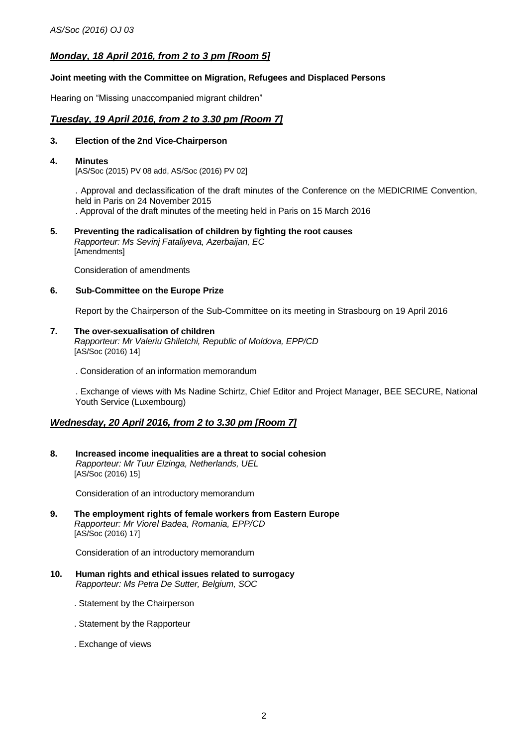# *Monday, 18 April 2016, from 2 to 3 pm [Room 5]*

#### **Joint meeting with the Committee on Migration, Refugees and Displaced Persons**

Hearing on "Missing unaccompanied migrant children"

## *Tuesday, 19 April 2016, from 2 to 3.30 pm [Room 7]*

#### **3. Election of the 2nd Vice-Chairperson**

#### **4. Minutes**

[AS/Soc (2015) PV 08 add, AS/Soc (2016) PV 02]

. Approval and declassification of the draft minutes of the Conference on the MEDICRIME Convention, held in Paris on 24 November 2015

. Approval of the draft minutes of the meeting held in Paris on 15 March 2016

**5. Preventing the radicalisation of children by fighting the root causes** *Rapporteur: Ms Sevinj Fataliyeva, Azerbaijan, EC*  [Amendments]

Consideration of amendments

#### **6. Sub-Committee on the Europe Prize**

Report by the Chairperson of the Sub-Committee on its meeting in Strasbourg on 19 April 2016

#### **7. The over-sexualisation of children**

*Rapporteur: Mr Valeriu Ghiletchi, Republic of Moldova, EPP/CD* [AS/Soc (2016) 14]

. Consideration of an information memorandum

. Exchange of views with Ms Nadine Schirtz, Chief Editor and Project Manager, BEE SECURE, National Youth Service (Luxembourg)

#### *Wednesday, 20 April 2016, from 2 to 3.30 pm [Room 7]*

**8. Increased income inequalities are a threat to social cohesion**  *Rapporteur: Mr Tuur Elzinga, Netherlands, UEL* [AS/Soc (2016) 15]

Consideration of an introductory memorandum

**9. The employment rights of female workers from Eastern Europe**  *Rapporteur: Mr Viorel Badea, Romania, EPP/CD*  [AS/Soc (2016) 17]

Consideration of an introductory memorandum

- **10. Human rights and ethical issues related to surrogacy** *Rapporteur: Ms Petra De Sutter, Belgium, SOC*
	- . Statement by the Chairperson
	- . Statement by the Rapporteur
	- . Exchange of views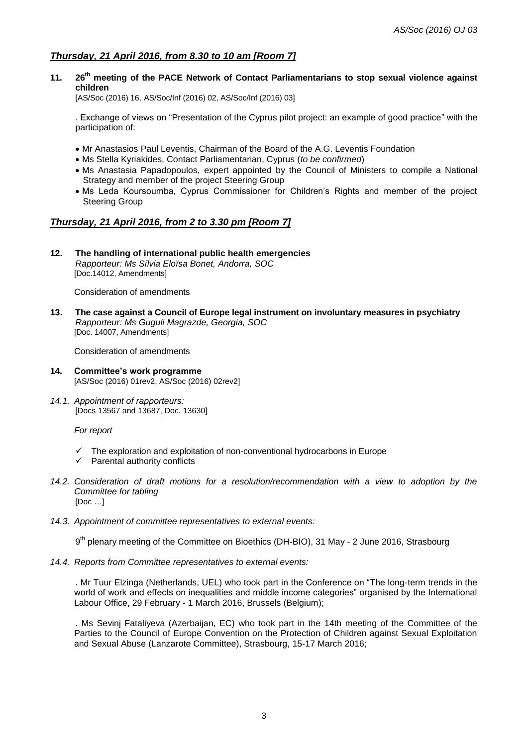# *Thursday, 21 April 2016, from 8.30 to 10 am [Room 7]*

**11. 26th meeting of the PACE Network of Contact Parliamentarians to stop sexual violence against children** 

[AS/Soc (2016) 16, AS/Soc/Inf (2016) 02, AS/Soc/Inf (2016) 03]

. Exchange of views on "Presentation of the Cyprus pilot project: an example of good practice" with the participation of:

- Mr Anastasios Paul Leventis, Chairman of the Board of the A.G. Leventis Foundation
- Ms Stella Kyriakides, Contact Parliamentarian, Cyprus (*to be confirmed*)
- Ms Anastasia Papadopoulos, expert appointed by the Council of Ministers to compile a National Strategy and member of the project Steering Group
- Ms Leda Koursoumba, Cyprus Commissioner for Children's Rights and member of the project Steering Group

## *Thursday, 21 April 2016, from 2 to 3.30 pm [Room 7]*

**12. The handling of international public health emergencies** *Rapporteur: Ms Sílvia Eloïsa Bonet, Andorra, SOC* [Doc.14012, Amendments]

Consideration of amendments

**13. The case against a Council of Europe legal instrument on involuntary measures in psychiatry** *Rapporteur: Ms Guguli Magrazde, Georgia, SOC*  [Doc. 14007, Amendments]

Consideration of amendments

- **14. Committee's work programme**  [AS/Soc (2016) 01rev2, AS/Soc (2016) 02rev2]
- *14.1. Appointment of rapporteurs:* [Docs 13567 and 13687, Doc. 13630]

*For report*

- The exploration and exploitation of non-conventional hydrocarbons in Europe
- $\checkmark$  Parental authority conflicts
- *14.2. Consideration of draft motions for a resolution/recommendation with a view to adoption by the Committee for tabling* [Doc …]
- *14.3. Appointment of committee representatives to external events:*

9<sup>th</sup> plenary meeting of the Committee on Bioethics (DH-BIO), 31 May - 2 June 2016, Strasbourg

*14.4. Reports from Committee representatives to external events:*

. Mr Tuur Elzinga (Netherlands, UEL) who took part in the Conference on "The long-term trends in the world of work and effects on inequalities and middle income categories" organised by the International Labour Office, 29 February - 1 March 2016, Brussels (Belgium);

. Ms Sevinj Fataliyeva (Azerbaijan, EC) who took part in the 14th meeting of the Committee of the Parties to the Council of Europe Convention on the Protection of Children against Sexual Exploitation and Sexual Abuse (Lanzarote Committee), Strasbourg, 15-17 March 2016;